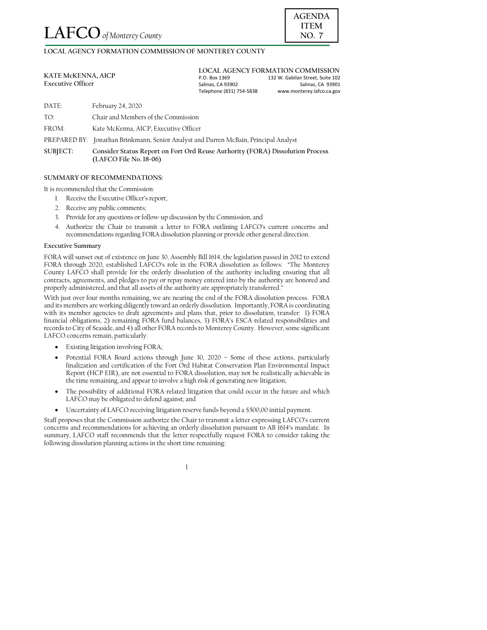LOCAL AGENCY FORMATION COMMISSION OF MONTEREY COUNTY

| <b>KATE McKENNA, AICP</b><br><b>Executive Officer</b> | LOCAL AGENCY FORMATION COMMISSION |                                  |
|-------------------------------------------------------|-----------------------------------|----------------------------------|
|                                                       | P.O. Box 1369                     | 132 W. Gabilan Street. Suite 102 |
|                                                       | Salinas, CA 93902                 | Salinas, CA 93901                |
|                                                       | Telephone (831) 754-5838          | www.monterey.lafco.ca.gov        |
|                                                       |                                   |                                  |

DATE: February 24, 2020

 $TO<sub>1</sub>$ Chair and Members of the Commission

FROM: Kate McKenna, AICP, Executive Officer

PREPARED BY: Jonathan Brinkmann, Senior Analyst and Darren McBain, Principal Analyst

SUBJECT: Consider Status Report on Fort Ord Reuse Authority (FORA) Dissolution Process (LAFCO File No. 18-06)

## SUMMARY OF RECOMMENDATIONS:

It is recommended that the Commission:

- 1. Receive the Executive Officer's report;
- 2. Receive any public comments;
- 3. Provide for any questions or follow-up discussion by the Commission, and
- 4. Authorize the Chair to transmit a letter to FORA outlining LAFCO's current concerns and recommendations regarding FORA dissolution planning or provide other general direction.

## **Executive Summary**

FORA will sunset out of existence on June 30. Assembly Bill 1614, the legislation passed in 2012 to extend FORA through 2020, established LAFCO's role in the FORA dissolution as follows: "The Monterey County LAFCO shall provide for the orderly dissolution of the authority including ensuring that all contracts, agreements, and pledges to pay or repay money entered into by the authority are honored and properly administered, and that all assets of the authority are appropriately transferred."

With just over four months remaining, we are nearing the end of the FORA dissolution process. FORA and its members are working diligently toward an orderly dissolution. Importantly, FORA is coordinating with its member agencies to draft agreements and plans that, prior to dissolution, transfer: 1) FORA financial obligations, 2) remaining FORA fund balances, 3) FORA's ESCA-related responsibilities and records to City of Seaside, and 4) all other FORA records to Monterey County. However, some significant LAFCO concerns remain, particularly:

- Existing litigation involving FORA;
- Potential FORA Board actions through June 30, 2020 Some of these actions, particularly  $\bullet$ finalization and certification of the Fort Ord Habitat Conservation Plan Environmental Impact Report (HCP EIR), are not essential to FORA dissolution, may not be realistically achievable in the time remaining, and appear to involve a high risk of generating new litigation;
- The possibility of additional FORA-related litigation that could occur in the future and which  $\bullet$ LAFCO may be obligated to defend against; and
- Uncertainty of LAFCO receiving litigation reserve funds beyond a \$500,00 initial payment.

Staff proposes that the Commission authorize the Chair to transmit a letter expressing LAFCO's current concerns and recommendations for achieving an orderly dissolution pursuant to AB 1614's mandate. In summary, LAFCO staff recommends that the letter respectfully request FORA to consider taking the following dissolution planning actions in the short time remaining:

 $\overline{1}$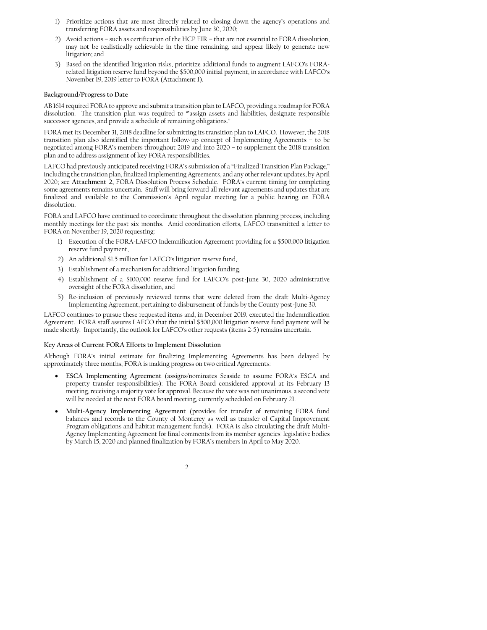- Prioritize actions that are most directly related to closing down the agency's operations and  $\overline{1}$ transferring FORA assets and responsibilities by June 30, 2020;
- 2) Avoid actions such as certification of the HCP EIR that are not essential to FORA dissolution, may not be realistically achievable in the time remaining, and appear likely to generate new litigation; and
- 3) Based on the identified litigation risks, prioritize additional funds to augment LAFCO's FORArelated litigation reserve fund beyond the \$500,000 initial payment, in accordance with LAFCO's November 19, 2019 letter to FORA (Attachment 1).

## Background/Progress to Date

AB 1614 required FORA to approve and submit a transition plan to LAFCO, providing a roadmap for FORA dissolution. The transition plan was required to "assign assets and liabilities, designate responsible successor agencies, and provide a schedule of remaining obligations."

FORA met its December 31, 2018 deadline for submitting its transition plan to LAFCO. However, the 2018 transition plan also identified the important follow-up concept of Implementing Agreements - to be negotiated among FORA's members throughout 2019 and into 2020 - to supplement the 2018 transition plan and to address assignment of key FORA responsibilities.

LAFCO had previously anticipated receiving FORA's submission of a "Finalized Transition Plan Package," including the transition plan, finalized Implementing Agreements, and any other relevant updates, by April 2020; see Attachment 2, FORA Dissolution Process Schedule. FORA's current timing for completing some agreements remains uncertain. Staff will bring forward all relevant agreements and updates that are finalized and available to the Commission's April regular meeting for a public hearing on FORA dissolution.

FORA and LAFCO have continued to coordinate throughout the dissolution planning process, including monthly meetings for the past six months. Amid coordination efforts, LAFCO transmitted a letter to FORA on November 19, 2020 requesting:

- 1) Execution of the FORA-LAFCO Indemnification Agreement providing for a \$500,000 litigation reserve fund payment,
- 2) An additional \$1.5 million for LAFCO's litigation reserve fund,
- 3) Establishment of a mechanism for additional litigation funding,
- 4) Establishment of a \$100,000 reserve fund for LAFCO's post-June 30, 2020 administrative oversight of the FORA dissolution, and
- 5) Re-inclusion of previously reviewed terms that were deleted from the draft Multi-Agency Implementing Agreement, pertaining to disbursement of funds by the County post-June 30.

LAFCO continues to pursue these requested items and, in December 2019, executed the Indemnification Agreement. FORA staff assures LAFCO that the initial \$500,000 litigation reserve fund payment will be made shortly. Importantly, the outlook for LAFCO's other requests (items 2-5) remains uncertain.

## Key Areas of Current FORA Efforts to Implement Dissolution

Although FORA's initial estimate for finalizing Implementing Agreements has been delayed by approximately three months, FORA is making progress on two critical Agreements:

- ESCA Implementing Agreement (assigns/nominates Seaside to assume FORA's ESCA and property transfer responsibilities): The FORA Board considered approval at its February 13 meeting, receiving a majority vote for approval. Because the vote was not unanimous, a second vote will be needed at the next FORA board meeting, currently scheduled on February 21.
- Multi-Agency Implementing Agreement (provides for transfer of remaining FORA fund balances and records to the County of Monterey as well as transfer of Capital Improvement Program obligations and habitat management funds). FORA is also circulating the draft Multi-Agency Implementing Agreement for final comments from its member agencies' legislative bodies by March 15, 2020 and planned finalization by FORA's members in April to May 2020.

 $\overline{2}$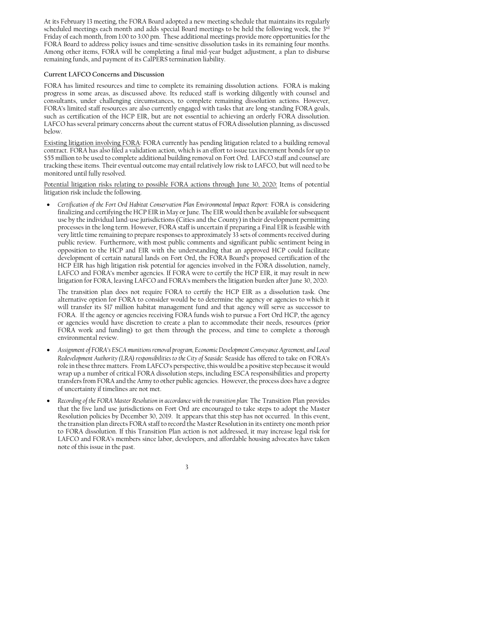At its February 13 meeting, the FORA Board adopted a new meeting schedule that maintains its regularly scheduled meetings each month and adds special Board meetings to be held the following week, the 3rd Friday of each month, from 1:00 to 3:00 pm. These additional meetings provide more opportunities for the FORA Board to address policy issues and time-sensitive dissolution tasks in its remaining four months. Among other items, FORA will be completing a final mid-year budget adjustment, a plan to disburse remaining funds, and payment of its CalPERS termination liability.

## Current LAFCO Concerns and Discussion

FORA has limited resources and time to complete its remaining dissolution actions. FORA is making progress in some areas, as discussed above. Its reduced staff is working diligently with counsel and consultants, under challenging circumstances, to complete remaining dissolution actions. However, FORA's limited staff resources are also currently engaged with tasks that are long-standing FORA goals, such as certification of the HCP EIR, but are not essential to achieving an orderly FORA dissolution. LAFCO has several primary concerns about the current status of FORA dissolution planning, as discussed below.

Existing litigation involving FORA: FORA currently has pending litigation related to a building removal contract. FORA has also filed a validation action, which is an effort to issue tax increment bonds for up to \$55 million to be used to complete additional building removal on Fort Ord. LAFCO staff and counsel are tracking these items. Their eventual outcome may entail relatively low risk to LAFCO, but will need to be monitored until fully resolved.

Potential litigation risks relating to possible FORA actions through June 30, 2020: Items of potential litigation risk include the following.

Certification of the Fort Ord Habitat Conservation Plan Environmental Impact Report: FORA is considering finalizing and certifying the HCP EIR in May or June. The EIR would then be available for subsequent use by the individual land-use jurisdictions (Cities and the County) in their development permitting processes in the long term. However, FORA staff is uncertain if preparing a Final EIR is feasible with very little time remaining to prepare responses to approximately 33 sets of comments received during public review. Furthermore, with most public comments and significant public sentiment being in opposition to the HCP and EIR with the understanding that an approved HCP could facilitate development of certain natural lands on Fort Ord, the FORA Board's proposed certification of the HCP EIR has high litigation risk potential for agencies involved in the FORA dissolution, namely, LAFCO and FORA's member agencies. If FORA were to certify the HCP EIR, it may result in new litigation for FORA, leaving LAFCO and FORA's members the litigation burden after June 30, 2020.

The transition plan does not require FORA to certify the HCP EIR as a dissolution task. One alternative option for FORA to consider would be to determine the agency or agencies to which it will transfer its \$17 million habitat management fund and that agency will serve as successor to FORA. If the agency or agencies receiving FORA funds wish to pursue a Fort Ord HCP, the agency or agencies would have discretion to create a plan to accommodate their needs, resources (prior FORA work and funding) to get them through the process, and time to complete a thorough environmental review.

- Assignment of FORA's ESCA munitions removal program, Economic Development Conveyance Agreement, and Local Redevelopment Authority (LRA) responsibilities to the City of Seaside: Seaside has offered to take on FORA's role in these three matters. From LAFCO's perspective, this would be a positive step because it would wrap up a number of critical FORA dissolution steps, including ESCA responsibilities and property transfers from FORA and the Army to other public agencies. However, the process does have a degree of uncertainty if timelines are not met.
- Recording of the FORA Master Resolution in accordance with the transition plan: The Transition Plan provides that the five land use jurisdictions on Fort Ord are encouraged to take steps to adopt the Master Resolution policies by December 30, 2019. It appears that this step has not occurred. In this event, the transition plan directs FORA staff to record the Master Resolution in its entirety one month prior to FORA dissolution. If this Transition Plan action is not addressed, it may increase legal risk for LAFCO and FORA's members since labor, developers, and affordable housing advocates have taken note of this issue in the past.

 $\overline{\mathbf{3}}$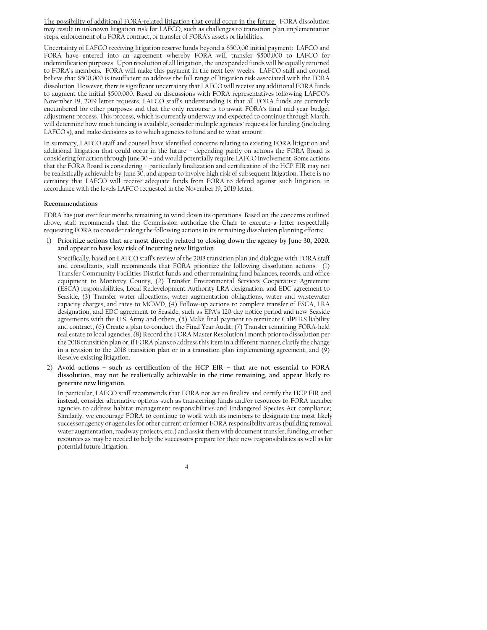The possibility of additional FORA-related litigation that could occur in the future: FORA dissolution may result in unknown litigation risk for LAFCO, such as challenges to transition plan implementation steps, enforcement of a FORA contract, or transfer of FORA's assets or liabilities.

Uncertainty of LAFCO receiving litigation reserve funds beyond a \$500,00 initial payment: LAFCO and FORA have entered into an agreement whereby FORA will transfer \$500,000 to LAFCO for indemnification purposes. Upon resolution of all litigation, the unexpended funds will be equally returned to FORA's members. FORA will make this payment in the next few weeks. LAFCO staff and counsel believe that \$500,000 is insufficient to address the full range of litigation risk associated with the FORA dissolution. However, there is significant uncertainty that LAFCO will receive any additional FORA funds to augment the initial \$500,000. Based on discussions with FORA representatives following LAFCO's November 19, 2019 letter requests, LAFCO staff's understanding is that all FORA funds are currently encumbered for other purposes and that the only recourse is to await FORA's final mid-year budget adjustment process. This process, which is currently underway and expected to continue through March, will determine how much funding is available, consider multiple agencies' requests for funding (including LAFCO's), and make decisions as to which agencies to fund and to what amount.

In summary, LAFCO staff and counsel have identified concerns relating to existing FORA litigation and additional litigation that could occur in the future - depending partly on actions the FORA Board is considering for action through June 30 - and would potentially require LAFCO involvement. Some actions that the FORA Board is considering - particularly finalization and certification of the HCP EIR may not be realistically achievable by June 30, and appear to involve high risk of subsequent litigation. There is no certainty that LAFCO will receive adequate funds from FORA to defend against such litigation, in accordance with the levels LAFCO requested in the November 19, 2019 letter.

# Recommendations

FORA has just over four months remaining to wind down its operations. Based on the concerns outlined above, staff recommends that the Commission authorize the Chair to execute a letter respectfully requesting FORA to consider taking the following actions in its remaining dissolution planning efforts:

1) Prioritize actions that are most directly related to closing down the agency by June 30, 2020, and appear to have low risk of incurring new litigation.

Specifically, based on LAFCO staff's review of the 2018 transition plan and dialogue with FORA staff and consultants, staff recommends that FORA prioritize the following dissolution actions: (1) Transfer Community Facilities District funds and other remaining fund balances, records, and office equipment to Monterey County, (2) Transfer Environmental Services Cooperative Agreement (ESCA) responsibilities, Local Redevelopment Authority LRA designation, and EDC agreement to Seaside,  $(3)$  Transfer water allocations, water augmentation obligations, water and wastewater capacity charges, and rates to MCWD, (4) Follow-up actions to complete transfer of ESCA, LRA designation, and EDC agreement to Seaside, such as EPA's 120-day notice period and new Seaside agreements with the U.S. Army and others, (5) Make final payment to terminate CalPERS liability and contract, (6) Create a plan to conduct the Final Year Audit, (7) Transfer remaining FORA-held real estate to local agencies, (8) Record the FORA Master Resolution 1 month prior to dissolution per the 2018 transition plan or, if FORA plans to address this item in a different manner, clarify the change in a revision to the 2018 transition plan or in a transition plan implementing agreement, and (9) Resolve existing litigation.

2) Avoid actions - such as certification of the HCP EIR - that are not essential to FORA dissolution, may not be realistically achievable in the time remaining, and appear likely to generate new litigation.

In particular, LAFCO staff recommends that FORA not act to finalize and certify the HCP EIR and, instead, consider alternative options such as transferring funds and/or resources to FORA member agencies to address habitat management responsibilities and Endangered Species Act compliance;. Similarly, we encourage FORA to continue to work with its members to designate the most likely successor agency or agencies for other current or former FORA responsibility areas (building removal, water augmentation, roadway projects, etc.) and assist them with document transfer, funding, or other resources as may be needed to help the successors prepare for their new responsibilities as well as for potential future litigation.

 $\overline{4}$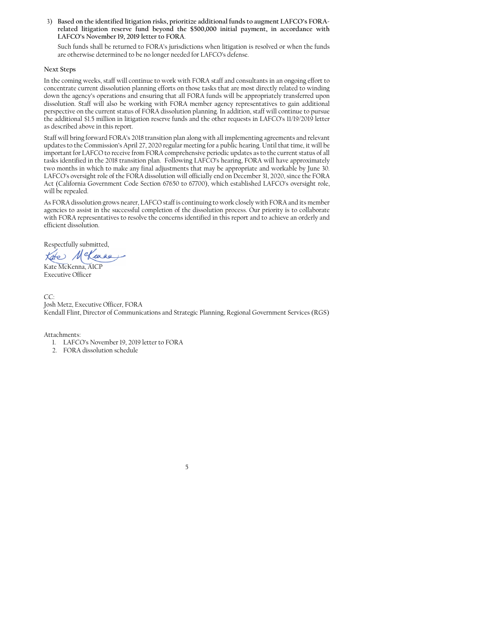3) Based on the identified litigation risks, prioritize additional funds to augment LAFCO's FORArelated litigation reserve fund beyond the \$500,000 initial payment, in accordance with LAFCO's November 19, 2019 letter to FORA.

Such funds shall be returned to FORA's jurisdictions when litigation is resolved or when the funds are otherwise determined to be no longer needed for LAFCO's defense.

# **Next Steps**

In the coming weeks, staff will continue to work with FORA staff and consultants in an ongoing effort to concentrate current dissolution planning efforts on those tasks that are most directly related to winding down the agency's operations and ensuring that all FORA funds will be appropriately transferred upon dissolution. Staff will also be working with FORA member agency representatives to gain additional perspective on the current status of FORA dissolution planning. In addition, staff will continue to pursue the additional \$1.5 million in litigation reserve funds and the other requests in LAFCO's 11/19/2019 letter as described above in this report.

Staff will bring forward FORA's 2018 transition plan along with all implementing agreements and relevant updates to the Commission's April 27, 2020 regular meeting for a public hearing. Until that time, it will be important for LAFCO to receive from FORA comprehensive periodic updates as to the current status of all tasks identified in the 2018 transition plan. Following LAFCO's hearing, FORA will have approximately two months in which to make any final adjustments that may be appropriate and workable by June 30. LAFCO's oversight role of the FORA dissolution will officially end on December 31, 2020, since the FORA Act (California Government Code Section 67650 to 67700), which established LAFCO's oversight role, will be repealed.

As FORA dissolution grows nearer, LAFCO staff is continuing to work closely with FORA and its member agencies to assist in the successful completion of the dissolution process. Our priority is to collaborate with FORA representatives to resolve the concerns identified in this report and to achieve an orderly and efficient dissolution.

Respectfully submitted,

Kate McKenna, AICP **Executive Officer** 

 $CC^{\cdot}$ Josh Metz, Executive Officer, FORA Kendall Flint, Director of Communications and Strategic Planning, Regional Government Services (RGS)

5

Attachments:

- 1. LAFCO's November 19, 2019 letter to FORA
- 2. FORA dissolution schedule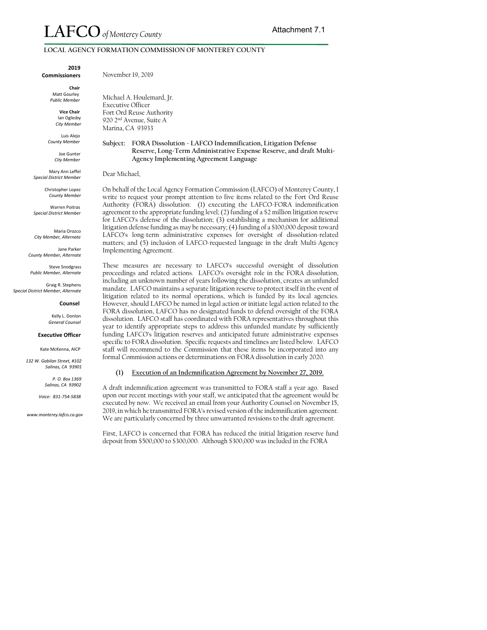# LOCAL AGENCY FORMATION COMMISSION OF MONTEREY COUNTY

2019 **Commissioners** 

> Chair Matt Gourley

Public Member **Vice Chair** 

> lan Oglesby City Member

Luis Alejo County Member

> Joe Gunter City Member

Mary Ann Leffel **Special District Member** 

> Christopher Lopez County Member

**Warren Poitras Special District Member** 

Maria Orozco City Member, Alternate

Jane Parker County Member, Alternate

Steve Snodgrass Public Member, Alternate

Graig R. Stephens Special District Member, Alternate

#### Counsel

Kelly L. Donlon **General Counsel** 

#### **Executive Officer**

Kate McKenna, AICP

132 W. Gabilan Street. #102 Salinas, CA 93901

> P. O. Box 1369 Salinas, CA 93902

Voice: 831-754-5838

www.monterey.lafco.ca.gov

Michael A. Houlemard, Jr.

November 19, 2019

**Executive Officer** Fort Ord Reuse Authority 920 2<sup>nd</sup> Avenue, Suite A Marina, CA 93933

# Subject: FORA Dissolution - LAFCO Indemnification, Litigation Defense Reserve, Long-Term Administrative Expense Reserve, and draft Multi-Agency Implementing Agreement Language

Dear Michael,

On behalf of the Local Agency Formation Commission (LAFCO) of Monterey County, I write to request your prompt attention to five items related to the Fort Ord Reuse Authority (FORA) dissolution: (1) executing the LAFCO-FORA indemnification agreement to the appropriate funding level; (2) funding of a \$2 million litigation reserve for LAFCO's defense of the dissolution; (3) establishing a mechanism for additional litigation defense funding as may be necessary; (4) funding of a \$100,000 deposit toward LAFCO's long-term administrative expenses for oversight of dissolution-related matters; and (5) inclusion of LAFCO-requested language in the draft Multi-Agency Implementing Agreement.

These measures are necessary to LAFCO's successful oversight of dissolution proceedings and related actions. LAFCO's oversight role in the FORA dissolution, including an unknown number of years following the dissolution, creates an unfunded mandate. LAFCO maintains a separate litigation reserve to protect itself in the event of litigation related to its normal operations, which is funded by its local agencies. However, should LAFCO be named in legal action or initiate legal action related to the FORA dissolution, LAFCO has no designated funds to defend oversight of the FORA dissolution. LAFCO staff has coordinated with FORA representatives throughout this year to identify appropriate steps to address this unfunded mandate by sufficiently funding LAFCO's litigation reserves and anticipated future administrative expenses specific to FORA dissolution. Specific requests and timelines are listed below. LAFCO staff will recommend to the Commission that these items be incorporated into any formal Commission actions or determinations on FORA dissolution in early 2020.

#### (1) Execution of an Indemnification Agreement by November 27, 2019.

A draft indemnification agreement was transmitted to FORA staff a year ago. Based upon our recent meetings with your staff, we anticipated that the agreement would be executed by now. We received an email from your Authority Counsel on November 15, 2019, in which he transmitted FORA's revised version of the indemnification agreement. We are particularly concerned by three unwarranted revisions to the draft agreement.

First, LAFCO is concerned that FORA has reduced the initial litigation reserve fund deposit from \$500,000 to \$300,000. Although \$300,000 was included in the FORA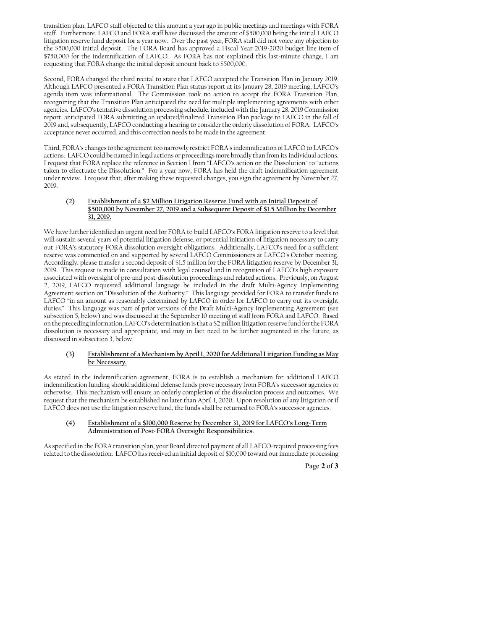transition plan, LAFCO staff objected to this amount a year ago in public meetings and meetings with FORA staff. Furthermore, LAFCO and FORA staff have discussed the amount of \$500,000 being the initial LAFCO litigation reserve fund deposit for a year now. Over the past year, FORA staff did not voice any objection to the \$500,000 initial deposit. The FORA Board has approved a Fiscal Year 2019-2020 budget line item of \$750,000 for the indemnification of LAFCO. As FORA has not explained this last-minute change, I am requesting that FORA change the initial deposit amount back to \$500,000.

Second, FORA changed the third recital to state that LAFCO accepted the Transition Plan in January 2019. Although LAFCO presented a FORA Transition Plan status report at its January 28, 2019 meeting, LÁFCO's agenda item was informational. The Commission took no action to accept the FORA Transition Plan, recognizing that the Transition Plan anticipated the need for multiple implementing agreements with other agencies. LAFCO's tentative dissolution processing schedule, included with the January 28, 2019 Commission report, anticipated FORA submitting an updated/finalized Transition Plan package to LAFCO in the fall of 2019 and, subsequently, LAFCO conducting a hearing to consider the orderly dissolution of FORA. LAFCO's acceptance never occurred, and this correction needs to be made in the agreement.

Third, FORA's changes to the agreement too narrowly restrict FORA's indemnification of LAFCO to LAFCO's actions. LAFCO could be named in legal actions or proceedings more broadly than from its individual actions. I request that FORA replace the reference in Section 1 from "LAFCO's action on the Dissolution" to "actions taken to effectuate the Dissolution." For a year now, FORA has held the draft indemnification agreement under review. I request that, after making these requested changes, you sign the agreement by November 27, 2019.

#### Establishment of a \$2 Million Litigation Reserve Fund with an Initial Deposit of  $(2)$ \$500,000 by November 27, 2019 and a Subsequent Deposit of \$1.5 Million by December 31, 2019.

We have further identified an urgent need for FORA to build LAFCO's FORA litigation reserve to a level that will sustain several years of potential litigation defense, or potential initiation of litigation necessary to carry out FORA's statutory FORA dissolution oversight obligations. Additionally, LAFCO's need for a sufficient reserve was commented on and supported by several LAFCO Commissioners at LAFCO's October meeting. Accordingly, please transfer a second deposit of \$1.5 million for the FORA litigation reserve by December 31, 2019. This request is made in consultation with legal counsel and in recognition of LAFCO's high exposure associated with oversight of pre-and post-dissolution proceedings and related actions. Previously, on August 2, 2019, LAFCO requested additional language be included in the draft Multi-Agency Implementing Agreement section on "Dissolution of the Authority." This language provided for FORA to transfer funds to LAFCO "in an amount as reasonably determined by LAFCO in order for LAFCO to carry out its oversight duties." This language was part of prior versions of the Draft Multi-Agency Implementing Agreement (see subsection 5, below) and was discussed at the September 10 meeting of staff from FORA and LAFCO. Based on the preceding information, LAFCO's determination is that a \$2 million litigation reserve fund for the FORA dissolution is necessary and appropriate, and may in fact need to be further augmented in the future, as discussed in subsection 3, below.

#### Establishment of a Mechanism by April 1, 2020 for Additional Litigation Funding as May  $(3)$ be Necessary.

As stated in the indemnification agreement, FORA is to establish a mechanism for additional LAFCO indemnification funding should additional defense funds prove necessary from FORA's successor agencies or otherwise. This mechanism will ensure an orderly completion of the dissolution process and outcomes. We request that the mechanism be established no later than April 1, 2020. Upon resolution of any litigation or if LAFCO does not use the litigation reserve fund, the funds shall be returned to FORA's successor agencies.

#### Establishment of a \$100,000 Reserve by December 31, 2019 for LAFCO's Long-Term  $(4)$ Administration of Post-FORA Oversight Responsibilities.

As specified in the FORA transition plan, your Board directed payment of all LAFCO-required processing fees related to the dissolution. LAFCO has received an initial deposit of \$10,000 toward our immediate processing

Page 2 of 3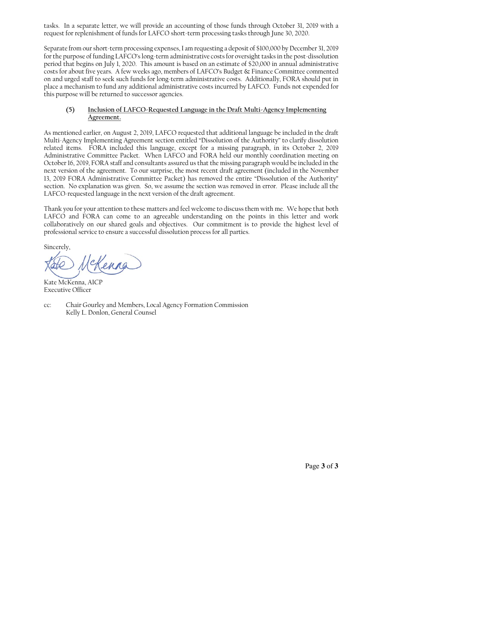tasks. In a separate letter, we will provide an accounting of those funds through October 31, 2019 with a request for replenishment of funds for LAFCO short-term processing tasks through June 30, 2020.

Separate from our short-term processing expenses, I am requesting a deposit of \$100,000 by December 31, 2019 for the purpose of funding LAFCO's long-term administrative costs for oversight tasks in the post-dissolution period that begins on July 1, 2020. This amount is based on an estimate of \$20,000 in annual administrative costs for about five years. A few weeks ago, members of LAFCO's Budget & Finance Committee commented on and urged staff to seek such funds for long-term administrative costs. Additionally, FORA should put in place a mechanism to fund any additional administrative costs incurred by LAFCO. Funds not expended for this purpose will be returned to successor agencies.

#### Inclusion of LAFCO-Requested Language in the Draft Multi-Agency Implementing  $(5)$ Agreement.

As mentioned earlier, on August 2, 2019, LAFCO requested that additional language be included in the draft Multi-Agency Implementing Agreement section entitled "Dissolution of the Authority" to clarify dissolution related items. FORA included this language, except for a missing paragraph, in its October 2, 2019 Administrative Committee Packet. When LAFCO and FORA held our monthly coordination meeting on October 16, 2019, FORA staff and consultants assured us that the missing paragraph would be included in the next version of the agreement. To our surprise, the most recent draft agreement (included in the November 13, 2019 FORA Administrative Committee Packet) has removed the entire "Dissolution of the Authority" section. No explanation was given. So, we assume the section was removed in error. Please include all the LAFCO-requested language in the next version of the draft agreement.

Thank you for your attention to these matters and feel welcome to discuss them with me. We hope that both LAFCO and FORA can come to an agreeable understanding on the points in this letter and work collaboratively on our shared goals and objectives. Our commitment is to provide the highest level of professional service to ensure a successful dissolution process for all parties.

Sincerely,

Kate McKenna, AICP **Executive Officer** 

Chair Gourley and Members, Local Agency Formation Commission  $CC$ Kelly L. Donlon, General Counsel

Page 3 of 3